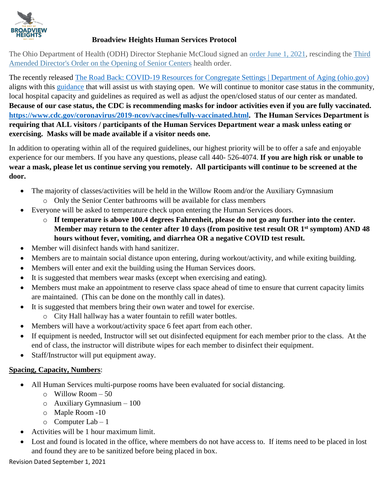

## **Broadview Heights Human Services Protocol**

The Ohio Department of Health (ODH) Director Stephanie McCloud signed an [order June 1, 2021,](https://coronavirus.ohio.gov/wps/portal/gov/covid-19/resources/public-health-orders/directors-order-rescinding-various-orders-06-02-21) rescinding the Third [Amended Director's Order on the Opening of Senior Centers](https://coronavirus.ohio.gov/static/publicorders/third-amended-do-opening-of-senior-centers-21-reader.pdf) health order.

The recently released [The Road Back: COVID-19 Resources for Congregate Settings | Department of Aging \(ohio.gov\)](https://aging.ohio.gov/wps/portal/gov/aging/care-and-living/coronavirus-response/the-road-back) aligns with this [guidance](https://coronavirus.ohio.gov/static/responsible/senior-centers-21.pdf) that will assist us with staying open. We will continue to monitor case status in the community, local hospital capacity and guidelines as required as well as adjust the open/closed status of our center as mandated. **Because of our case status, the CDC is recommending masks for indoor activities even if you are fully vaccinated. [https://www.cdc.gov/coronavirus/2019-ncov/vaccines/fully-vaccinated.html.](https://www.cdc.gov/coronavirus/2019-ncov/vaccines/fully-vaccinated.html) The Human Services Department is requiring that ALL visitors / participants of the Human Services Department wear a mask unless eating or exercising. Masks will be made available if a visitor needs one.**

In addition to operating within all of the required guidelines, our highest priority will be to offer a safe and enjoyable experience for our members. If you have any questions, please call 440- 526-4074. **If you are high risk or unable to wear a mask, please let us continue serving you remotely. All participants will continue to be screened at the door.**

- The majority of classes/activities will be held in the Willow Room and/or the Auxiliary Gymnasium
	- o Only the Senior Center bathrooms will be available for class members
- Everyone will be asked to temperature check upon entering the Human Services doors.
	- o **If temperature is above 100.4 degrees Fahrenheit, please do not go any further into the center. Member may return to the center after 10 days (from positive test result OR 1st symptom) AND 48 hours without fever, vomiting, and diarrhea OR a negative COVID test result.**
- Member will disinfect hands with hand sanitizer.
- Members are to maintain social distance upon entering, during workout/activity, and while exiting building.
- Members will enter and exit the building using the Human Services doors.
- It is suggested that members wear masks (except when exercising and eating).
- Members must make an appointment to reserve class space ahead of time to ensure that current capacity limits are maintained. (This can be done on the monthly call in dates).
- It is suggested that members bring their own water and towel for exercise.
	- o City Hall hallway has a water fountain to refill water bottles.
- Members will have a workout/activity space 6 feet apart from each other.
- If equipment is needed, Instructor will set out disinfected equipment for each member prior to the class. At the end of class, the instructor will distribute wipes for each member to disinfect their equipment.
- Staff/Instructor will put equipment away.

### **Spacing, Capacity, Numbers**:

- All Human Services multi-purpose rooms have been evaluated for social distancing.
	- o Willow Room 50
	- o Auxiliary Gymnasium 100
	- o Maple Room -10
	- $\circ$  Computer Lab 1
- Activities will be 1 hour maximum limit.
- Lost and found is located in the office, where members do not have access to. If items need to be placed in lost and found they are to be sanitized before being placed in box.

Revision Dated September 1, 2021